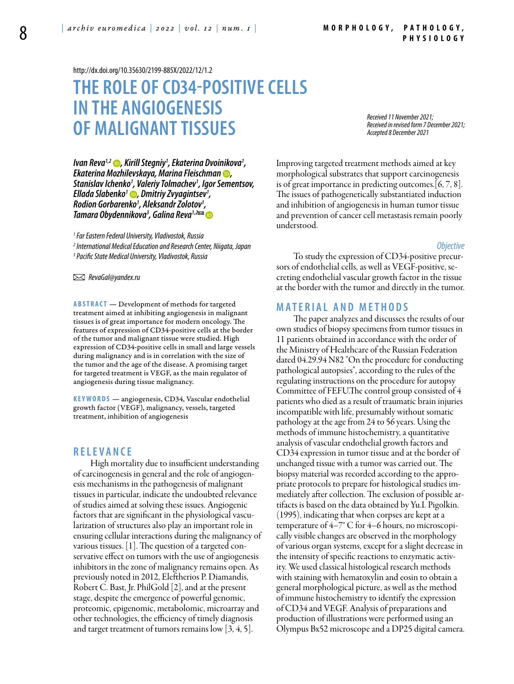<http://dx.doi.org/10.35630/2199-885X/2022/12/1.2>

# **The role of CD34-positive cells in the angiogenesis of malignant tissues**

*Received 11 November 2021; Received in revised form 7 December 2021; Accepted 8 December 2021*

*[Ivan Reva1](https://orcid.org/0000-0002-3727-393X),2 , Kirill Stegniy1 , Ekaterina Dvoinikova1 , Ekaterina Mozhilevskaya, [Marina Fleischman](https://orcid.org/00000002-9337-2801) , Stanislav Ichenko1 , Valeriy Tolmachev1 , Igor Sementsov, [Ellada Slabenko1](https://orcid.org/0000-0002-9946-2525) , Dmitriy Zvyagintsev1 , Rodion Gorbarenko1 , Aleksandr Zolotov1 , Tamara Obydennikova3 , [Galina Reva](https://orcid.org/0000-0001-6502-4271)1,2*

*1 Far Eastern Federal University, Vladivostok, Russia 2 International Medical Education and Research Center, Niigata, Japan 3 Pacific State Medical University, Vladivostok, Russia*

 *RevaGal@yandex.ru* 

**ABSTRACT** — Development of methods for targeted treatment aimed at inhibiting angiogenesis in malignant tissues is of great importance for modern oncology. The features of expression of CD34-positive cells at the border of the tumor and malignant tissue were studied. High expression of CD34-positive cells in small and large vessels during malignancy and is in correlation with the size of the tumor and the age of the disease. A promising target for targeted treatment is VEGF, as the main regulator of angiogenesis during tissue malignancy.

KEYWORDS — angiogenesis, CD34, Vascular endothelial growth factor (VEGF), malignancy, vessels, targeted treatment, inhibition of angiogenesis

## **r e l e v a n ce**

High mortality due to insufficient understanding of carcinogenesis in general and the role of angiogenesis mechanisms in the pathogenesis of malignant tissues in particular, indicate the undoubted relevance of studies aimed at solving these issues. Angiogenic factors that are significant in the physiological vascularization of structures also play an important role in ensuring cellular interactions during the malignancy of various tissues. [1]. The question of a targeted conservative effect on tumors with the use of angiogenesis inhibitors in the zone of malignancy remains open. As previously noted in 2012, Eleftherios P. Diamandis, Robert C. Bast, Jr. PhilGold [2], and at the present stage, despite the emergence of powerful genomic, proteomic, epigenomic, metabolomic, microarray and other technologies, the efficiency of timely diagnosis and target treatment of tumors remains low [3, 4, 5].

Improving targeted treatment methods aimed at key morphological substrates that support carcinogenesis is of great importance in predicting outcomes.[6, 7, 8]. The issues of pathogenetically substantiated induction and inhibition of angiogenesis in human tumor tissue and prevention of cancer cell metastasis remain poorly understood.

#### *Objective*

To study the expression of CD34-positive precursors of endothelial cells, as well as VEGF-positive, secreting endothelial vascular growth factor in the tissue at the border with the tumor and directly in the tumor.

### **Ma t e r i a l a n d m e t h o d s**

The paper analyzes and discusses the results of our own studies of biopsy specimens from tumor tissues in 11 patients obtained in accordance with the order of the Ministry of Healthcare of the Russian Federation dated 04.29.94 N82 "On the procedure for conducting pathological autopsies", according to the rules of the regulating instructions on the procedure for autopsy Committee of FEFU.The control group consisted of 4 patients who died as a result of traumatic brain injuries incompatible with life, presumably without somatic pathology at the age from 24 to 56 years. Using the methods of immune histochemistry, a quantitative analysis of vascular endothelial growth factors and CD34 expression in tumor tissue and at the border of unchanged tissue with a tumor was carried out. The biopsy material was recorded according to the appropriate protocols to prepare for histological studies immediately after collection. The exclusion of possible artifacts is based on the data obtained by Yu.I. Pigolkin. (1995), indicating that when corpses are kept at a temperature of 4–7° C for 4–6 hours, no microscopically visible changes are observed in the morphology of various organ systems, except for a slight decrease in the intensity of specific reactions to enzymatic activity. We used classical histological research methods with staining with hematoxylin and eosin to obtain a general morphological picture, as well as the method of immune histochemistry to identify the expression of CD34 and VEGF. Analysis of preparations and production of illustrations were performed using an Olympus Bx52 microscope and a DP25 digital camera.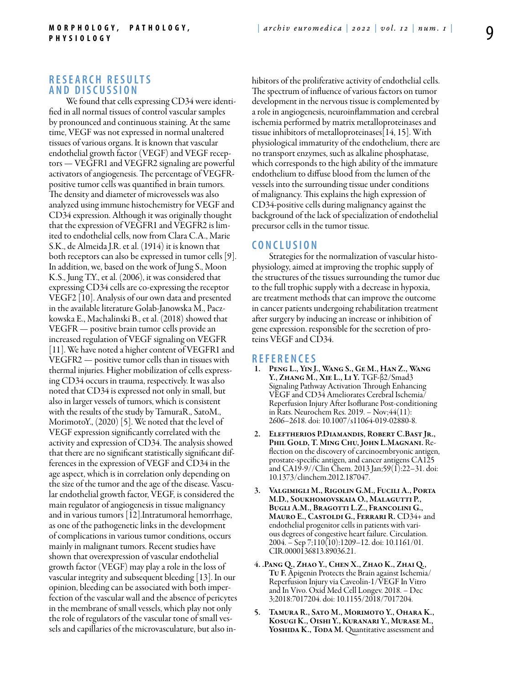# **R e s e a r c h R e s u l t s a n d D i sc u s s i o n**

We found that cells expressing CD34 were identified in all normal tissues of control vascular samples by pronounced and continuous staining. At the same time, VEGF was not expressed in normal unaltered tissues of various organs. It is known that vascular endothelial growth factor (VEGF) and VEGF receptors — VEGFR1 and VEGFR2 signaling are powerful activators of angiogenesis. The percentage of VEGFRpositive tumor cells was quantified in brain tumors. The density and diameter of microvessels was also analyzed using immune histochemistry for VEGF and CD34 expression. Although it was originally thought that the expression of VEGFR1 and VEGFR2 is limited to endothelial cells, now from Clara C.A., Marie S.K., de Almeida J.R. et al. (1914) it is known that both receptors can also be expressed in tumor cells [9]. In addition, we, based on the work of Jung S., Moon K.S., Jung T.Y., et al. (2006), it was considered that expressing CD34 cells are co-expressing the receptor VEGF2 [10]. Analysis of our own data and presented in the available literature Golab-Janowska M., Paczkowska E., Machalinski B., et al. (2018) showed that VEGFR — positive brain tumor cells provide an increased regulation of VEGF signaling on VEGFR [11]. We have noted a higher content of VEGFR1 and VEGFR2 — positive tumor cells than in tissues with thermal injuries. Higher mobilization of cells expressing CD34 occurs in trauma, respectively. It was also noted that CD34 is expressed not only in small, but also in larger vessels of tumors, which is consistent with the results of the study by TamuraR., SatoM., MorimotoY., (2020) [5]. We noted that the level of VEGF expression significantly correlated with the activity and expression of CD34. The analysis showed that there are no significant statistically significant differences in the expression of VEGF and CD34 in the age aspect, which is in correlation only depending on the size of the tumor and the age of the disease. Vascular endothelial growth factor, VEGF, is considered the main regulator of angiogenesis in tissue malignancy and in various tumors [12].Intratumoral hemorrhage, as one of the pathogenetic links in the development of complications in various tumor conditions, occurs mainly in malignant tumors. Recent studies have shown that overexpression of vascular endothelial growth factor (VEGF) may play a role in the loss of vascular integrity and subsequent bleeding [13]. In our opinion, bleeding can be associated with both imperfection of the vascular wall and the absence of pericytes in the membrane of small vessels, which play not only the role of regulators of the vascular tone of small vessels and capillaries of the microvasculature, but also inhibitors of the proliferative activity of endothelial cells. The spectrum of influence of various factors on tumor development in the nervous tissue is complemented by a role in angiogenesis, neuroinflammation and cerebral ischemia performed by matrix metalloproteinases and tissue inhibitors of metalloproteinases[14, 15]. With physiological immaturity of the endothelium, there are no transport enzymes, such as alkaline phosphatase, which corresponds to the high ability of the immature endothelium to diffuse blood from the lumen of the vessels into the surrounding tissue under conditions of malignancy. This explains the high expression of CD34-positive cells during malignancy against the background of the lack of specialization of endothelial precursor cells in the tumor tissue.

#### **C o n cl u s i o n**

Strategies for the normalization of vascular histophysiology, aimed at improving the trophic supply of the structures of the tissues surrounding the tumor due to the full trophic supply with a decrease in hypoxia, are treatment methods that can improve the outcome in cancer patients undergoing rehabilitation treatment after surgery by inducing an increase or inhibition of gene expression. responsible for the secretion of proteins VEGF and CD34.

### **R e f e r e n ce s**

- Peng L., Yin J., Wang S., Ge M., Han Z., Wang Y., Zhang M., Xie L., Li Y. TGF-β2/Smad3 Signaling Pathway Activation Through Enhancing VEGF and CD34 Ameliorates Cerebral Ischemia/ Reperfusion Injury After Isoflurane Post-conditioning in Rats. Neurochem Res. 2019. – Nov;44(11): 2606–2618. doi: 10.1007/s11064-019-02880-8.
- 2. Eleftherios P.Diamandis, Robert C.Bast Jr., Phil Gold, T. Ming Chu, John L.Magnani. Reflection on the discovery of carcinoembryonic antigen, prostate-specific antigen, and cancer antigens CA125 and CA19-9//Clin Chem. 2013 Jan;59(1):22–31. doi: 10.1373/clinchem.2012.187047.
- 3. Valgimigli M., Rigolin G.M., Fucili A., Porta M.D., Soukhomovskaia O., Malagutti P., Bugli A.M., Bragotti L.Z., Francolini G., MAURO E., CASTOLDI G., FERRARI R. CD34+ and endothelial progenitor cells in patients with various degrees of congestive heart failure. Circulation. 2004. – Sep 7;110(10):1209–12. doi: 10.1161/01. CIR.0000136813.89036.21.
- 4. .Pang Q., Zhao Y., Chen X., Zhao K., Zhai Q., Tu F. Apigenin Protects the Brain against Ischemia/ Reperfusion Injury via Caveolin-1/VEGF In Vitro and In Vivo. Oxid Med Cell Longev. 2018. – Dec 3;2018:7017204. doi: 10.1155/2018/7017204.
- 5. Tamura R., Sato M., Morimoto Y., Ohara K., Kosugi K., Oishi Y., Kuranari Y., Murase M., YOSHIDA K., TODA M. Quantitative assessment and